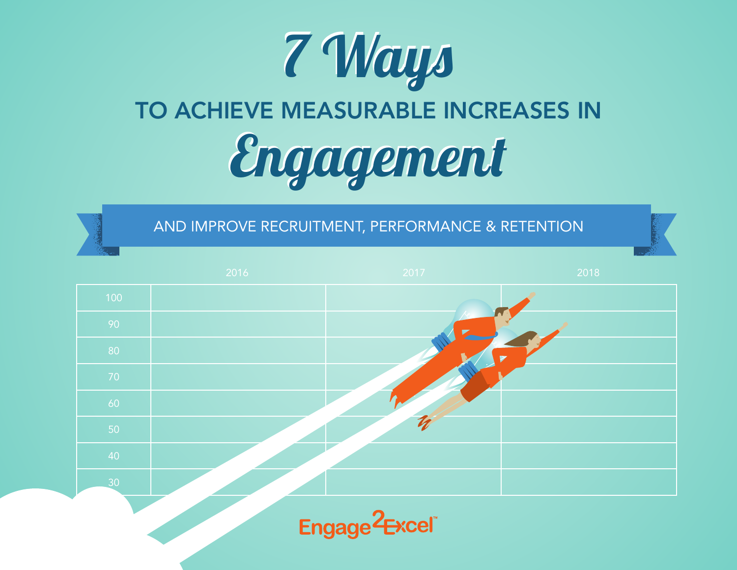

AND IMPROVE RECRUITMENT, PERFORMANCE & RETENTION

|                 | 2016 | 2017                       | 2018 |
|-----------------|------|----------------------------|------|
| 100             |      |                            |      |
| 90              |      |                            |      |
| 80              |      |                            |      |
| 70              |      |                            |      |
| 60              |      |                            |      |
| 50 <sub>o</sub> |      | $\boldsymbol{\mathcal{I}}$ |      |
| 40              |      |                            |      |
| $\overline{30}$ |      |                            |      |
|                 |      | $\sim$                     |      |

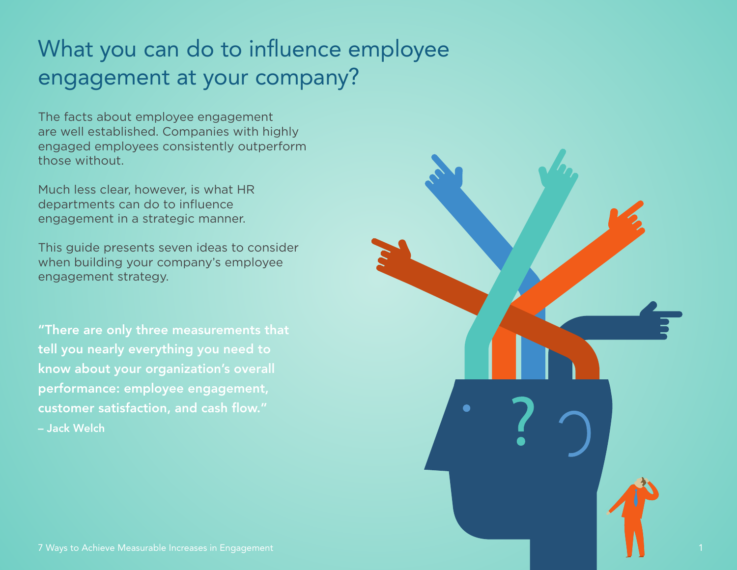#### What you can do to influence employee engagement at your company?

The facts about employee engagement are well established. Companies with highly engaged employees consistently outperform those without.

Much less clear, however, is what HR departments can do to influence engagement in a strategic manner.

This guide presents seven ideas to consider when building your company's employee engagement strategy.

"There are only three measurements that tell you nearly everything you need to know about your organization's overall performance: employee engagement, customer satisfaction, and cash flow." – Jack Welch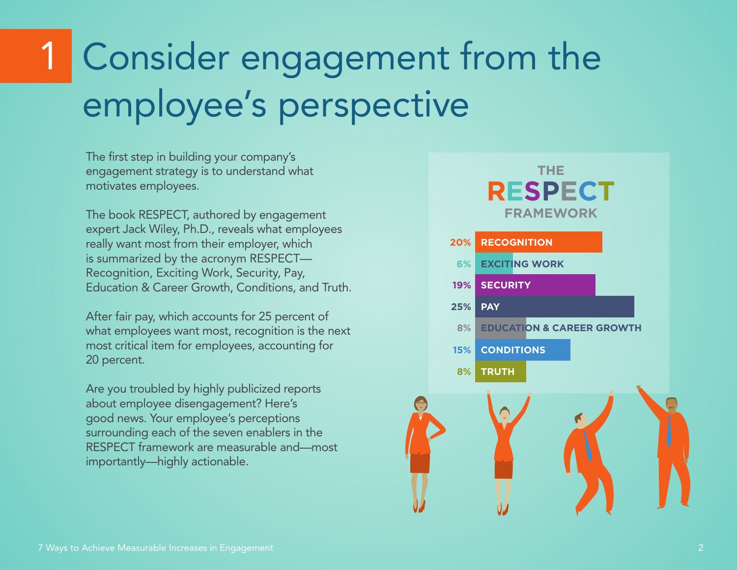## Consider engagement from the employee's perspective

The first step in building your company's engagement strategy is to understand what motivates employees.

The book RESPECT, authored by engagement expert Jack Wiley, Ph.D., reveals what employees really want most from their employer, which is summarized by the acronym RESPECT— Recognition, Exciting Work, Security, Pay, Education & Career Growth, Conditions, and Truth.

After fair pay, which accounts for 25 percent of what employees want most, recognition is the next most critical item for employees, accounting for 20 percent.

Are you troubled by highly publicized reports about employee disengagement? Here's good news. Your employee's perceptions surrounding each of the seven enablers in the RESPECT framework are measurable and—most importantly—highly actionable.

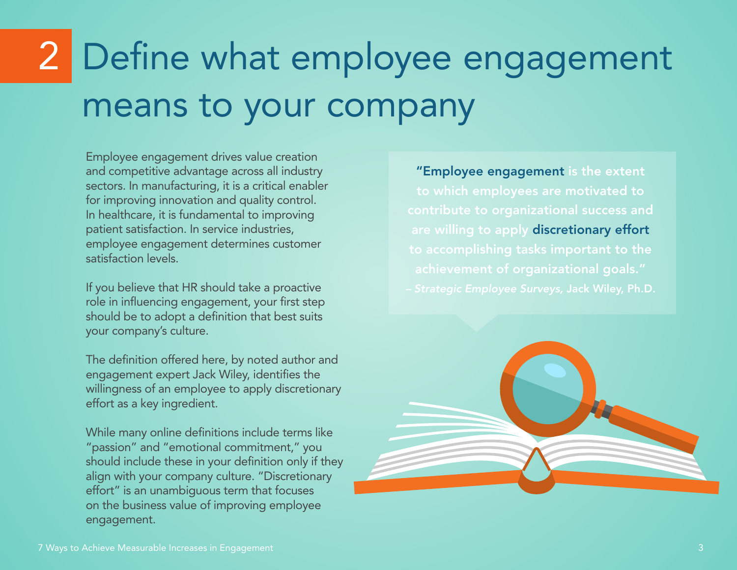## 2 Define what employee engagement means to your company

Employee engagement drives value creation and competitive advantage across all industry sectors. In manufacturing, it is a critical enabler for improving innovation and quality control. In healthcare, it is fundamental to improving patient satisfaction. In service industries, employee engagement determines customer satisfaction levels.

If you believe that HR should take a proactive role in influencing engagement, your first step should be to adopt a definition that best suits your company's culture.

The definition offered here, by noted author and engagement expert Jack Wiley, identifies the willingness of an employee to apply discretionary effort as a key ingredient.

While many online definitions include terms like "passion" and "emotional commitment," you should include these in your definition only if they align with your company culture. "Discretionary effort" is an unambiguous term that focuses on the business value of improving employee engagement.

"Employee engagement is the extent to which employees are motivated to contribute to organizational success and are willing to apply discretionary effort to accomplishing tasks important to the achievement of organizational goals."

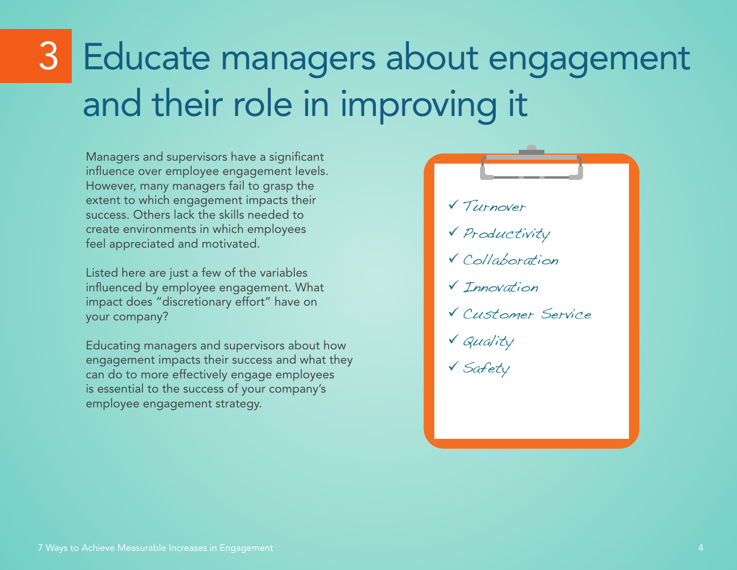## Educate managers about engagement and their role in improving it

Managers and supervisors have a significant influence over employee engagement levels. However, many managers fail to grasp the extent to which engagement impacts their success. Others lack the skills needed to create environments in which employees feel appreciated and motivated.

Listed here are just a few of the variables influenced by employee engagement. What impact does "discretionary effort" have on your company?

Educating managers and supervisors about how engagement impacts their success and what they can do to more effectively engage employees is essential to the success of your company's employee engagement strategy.

 Turnover Productivity Collaboration **V** Innovation Customer Service Quality Safety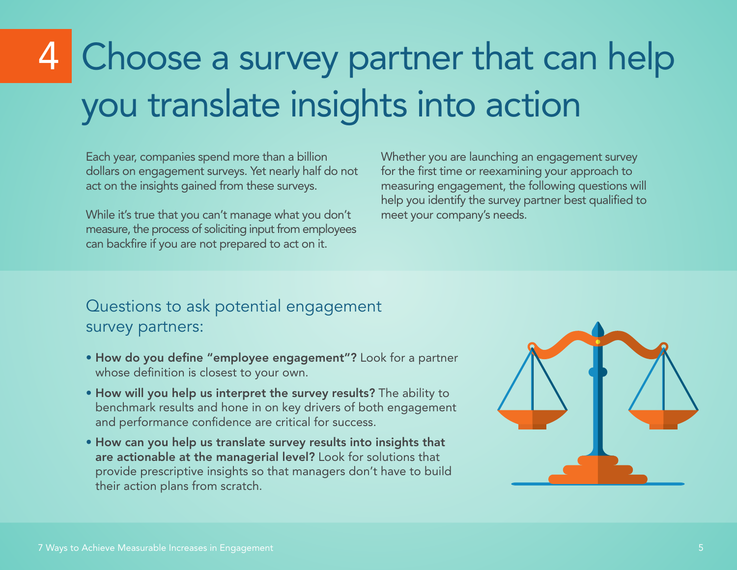# Choose a survey partner that can help you translate insights into action

 Each year, companies spend more than a billion dollars on engagement surveys. Yet nearly half do not act on the insights gained from these surveys.

While it's true that you can't manage what you don't measure, the process of soliciting input from employees can backfire if you are not prepared to act on it.

Whether you are launching an engagement survey for the first time or reexamining your approach to measuring engagement, the following questions will help you identify the survey partner best qualified to meet your company's needs.

#### Questions to ask potential engagement survey partners:

- How do you define "employee engagement"? Look for a partner whose definition is closest to your own.
- How will you help us interpret the survey results? The ability to benchmark results and hone in on key drivers of both engagement and performance confidence are critical for success.
- How can you help us translate survey results into insights that are actionable at the managerial level? Look for solutions that provide prescriptive insights so that managers don't have to build their action plans from scratch.

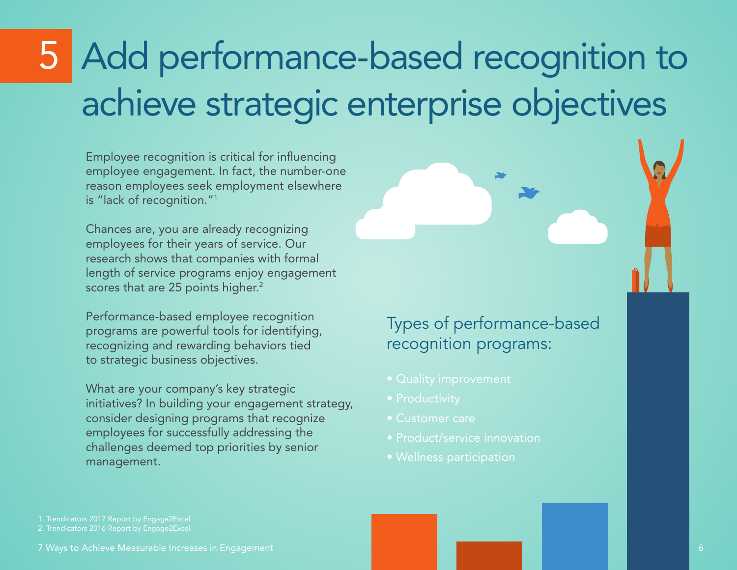## Add performance-based recognition to achieve strategic enterprise objectives

 Employee recognition is critical for influencing employee engagement. In fact, the number-one reason employees seek employment elsewhere is "lack of recognition."1

Chances are, you are already recognizing employees for their years of service. Our research shows that companies with formal length of service programs enjoy engagement scores that are 25 points higher.<sup>2</sup>

Performance-based employee recognition programs are powerful tools for identifying, recognizing and rewarding behaviors tied to strategic business objectives.

What are your company's key strategic initiatives? In building your engagement strategy, consider designing programs that recognize employees for successfully addressing the challenges deemed top priorities by senior management.

#### Types of performance-based recognition programs:

- Quality improvement
- Productivity
- Customer care
- Product/service innovation
- 

1. Trendicators 2017 Report by Engage2Excel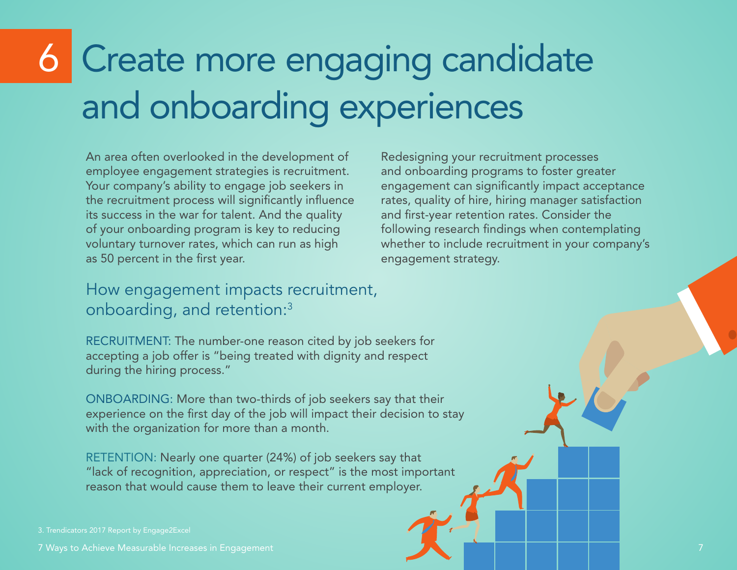# 6 Create more engaging candidate and onboarding experiences

 An area often overlooked in the development of employee engagement strategies is recruitment. Your company's ability to engage job seekers in the recruitment process will significantly influence its success in the war for talent. And the quality of your onboarding program is key to reducing voluntary turnover rates, which can run as high as 50 percent in the first year.

#### How engagement impacts recruitment, onboarding, and retention:3

RECRUITMENT: The number-one reason cited by job seekers for accepting a job offer is "being treated with dignity and respect during the hiring process."

ONBOARDING: More than two-thirds of job seekers say that their experience on the first day of the job will impact their decision to stay with the organization for more than a month.

RETENTION: Nearly one quarter (24%) of job seekers say that "lack of recognition, appreciation, or respect" is the most important reason that would cause them to leave their current employer.

Redesigning your recruitment processes and onboarding programs to foster greater engagement can significantly impact acceptance rates, quality of hire, hiring manager satisfaction and first-year retention rates. Consider the following research findings when contemplating whether to include recruitment in your company's engagement strategy.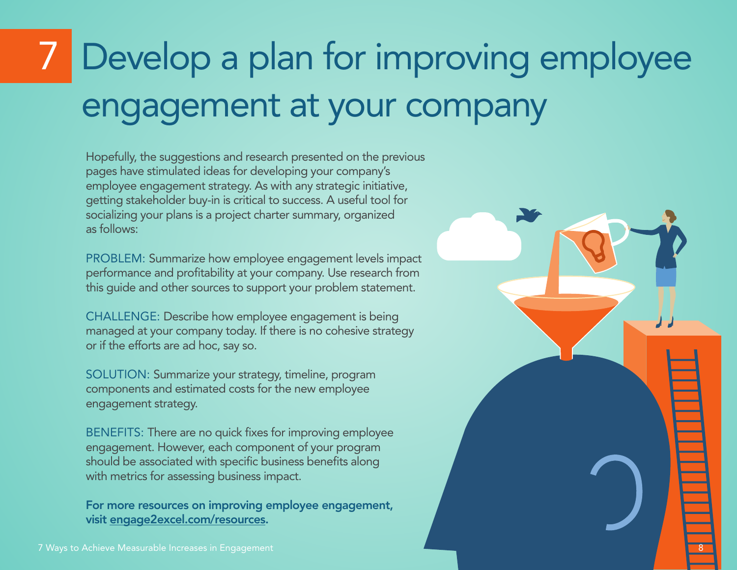# Develop a plan for improving employee engagement at your company

8

 Hopefully, the suggestions and research presented on the previous pages have stimulated ideas for developing your company's employee engagement strategy. As with any strategic initiative, getting stakeholder buy-in is critical to success. A useful tool for socializing your plans is a project charter summary, organized as follows:

PROBLEM: Summarize how employee engagement levels impact performance and profitability at your company. Use research from this guide and other sources to support your problem statement.

CHALLENGE: Describe how employee engagement is being managed at your company today. If there is no cohesive strategy or if the efforts are ad hoc, say so.

SOLUTION: Summarize your strategy, timeline, program components and estimated costs for the new employee engagement strategy.

BENEFITS: There are no quick fixes for improving employee engagement. However, each component of your program should be associated with specific business benefits along with metrics for assessing business impact.

For more resources on improving employee engagement, visit [engage2excel.com/resources](http://www.engage2excel.com/resources/).

7 Ways to Achieve Measurable Increases in Engagement